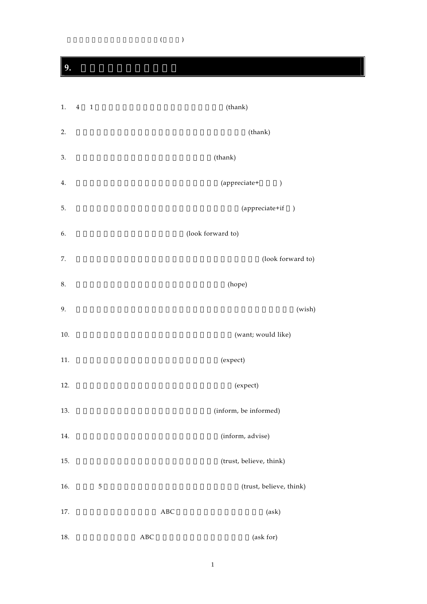$(\hspace{7mm})$ 

**9.** 重要動詞50の活用演習

| 1.      | $\overline{4}$<br>$\overline{1}$ |            | (thank)                 |
|---------|----------------------------------|------------|-------------------------|
| 2.      |                                  |            | (thank)                 |
| 3.      |                                  |            | (thank)                 |
| 4.      |                                  |            | (appreciate+<br>$\big)$ |
| 5.      |                                  |            | (appreciate+if)         |
| 6.      |                                  |            | (look forward to)       |
| 7.      |                                  |            | (look forward to)       |
| $8. \,$ |                                  |            | (hope)                  |
| 9.      |                                  |            | (wish)                  |
| 10.     |                                  |            | (want; would like)      |
| 11.     |                                  |            | (expect)                |
| 12.     |                                  |            | (expect)                |
| 13.     |                                  |            | (inform, be informed)   |
| 14.     |                                  |            | (inform, advise)        |
| 15.     |                                  |            | (trust, believe, think) |
| 16.     | 5                                |            | (trust, believe, think) |
| 17.     |                                  | $\rm{ABC}$ | (ask)                   |
| 18.     |                                  | $\rm ABC$  | (ask for)               |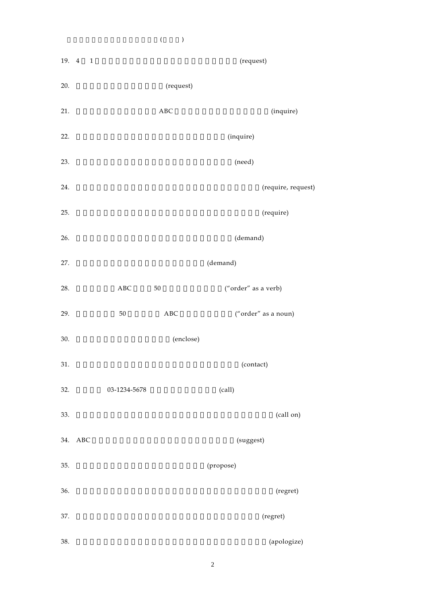19. 4 1 (request) 20.  $(\text{request})$ 21. ABC (inquire) 22.  $(inquire)$  $23.$   $(need)$ 24. the contract of the contract of the contract of the contract of the contract of the contract of the contract of the contract of the contract of the contract of the contract of the contract of the contract of the contra 25. the contract of the contract of the contract of the contract of the contract of the contract of the contract of the contract of the contract of the contract of the contract of the contract of the contract of the contra  $26.$  (demand) 27. **CONSIDERING A CONSIDERING A CONSIDERING A CONSIDERING A CONSIDERING A CONSIDERING A CONSIDERING A CONSIDERING A CONSIDERING A CONSIDERING A CONSIDERING A CONSIDERING A CONSIDERING A CONSIDERING A CONSIDERING A CONSIDE** 28. ABC 50 ("order" as a verb) 29. S0 BC ABC ("order" as a noun) 30. (enclose) 31. Contact) 32.  $03-1234-5678$  (call)  $33.$  (call on) 34. ABC (suggest) 35. (propose) 36. 彼の提案を十分に検討する前に却下したことを残念に思います。(regret) 37.  $(regret)$ 38. お送りした請求書に間違いがありましたことをお詫びします。(apologize)

 $\zeta$  and  $\zeta$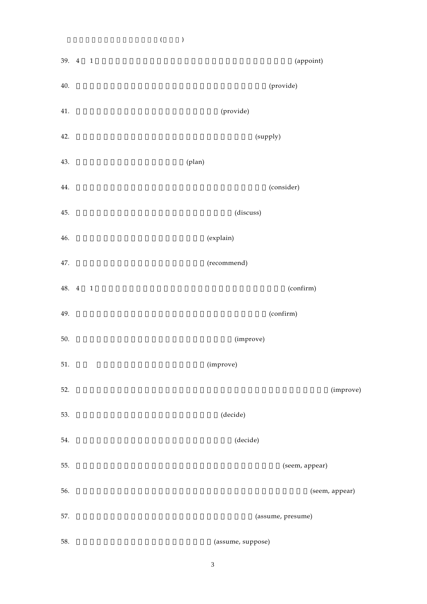39. 4 1 (appoint) 40. (provide) 41.  $(provide)$ 42. (supply) 43. (plan) 44. the consider of the consider of the consider) (consider) 45. (discuss) 46.  $(explain)$ 47. (recommend) 48. 4 1 (confirm) 49. confirm) 50. **Improve**) 51. (improve)  $52.$  (improve) 53. the contract of the contract of the contract of the contract of the contract of the contract of the contract of the contract of the contract of the contract of the contract of the contract of the contract of the contra 54. the state of the state of the state of the state of the state of the state of the state of the state of the state of the state of the state of the state of the state of the state of the state of the state of the state 55. **Solution (seem, appear)** 56. **(seem, appear)** 57. **(assume, presume)** 58. **Samuel Contract of the Contract Contract (assume, suppose)** 

 $\zeta$  and  $\zeta$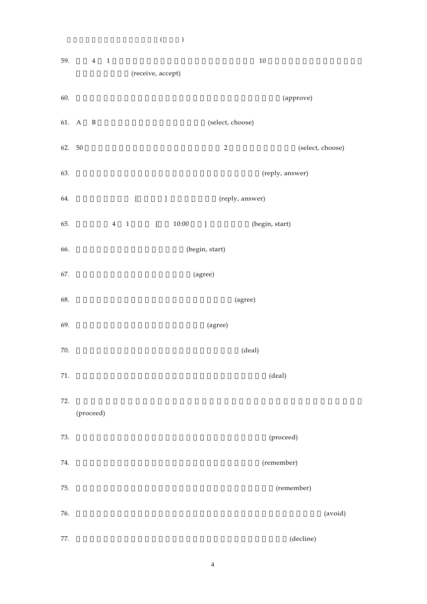$59. \t\t\t 4 \t\t 1$  10 (receive, accept) 60. 数時間の激論の後、取締役会はその計画書を原案どおり承認した。(approve) 61. A B (select, choose)  $62. \quad 50$  (select, choose) 63. **Reply, answer)** 64. **[**  $\qquad$  ] (reply, answer) 65. 4 1 [  $10:00$  ] (begin, start) 66. **the contract of the start**) (begin, start)  $67.$  (agree) 68. **(agree)**  $69.$   $(agree)$  $70.$  (deal)  $71.$  (deal)  $72.$ (proceed) 73. (proceed) 74. (remember) 75. **(remember)**  $76.$   $(avoid)$ 77. **(decline)** 

 $\zeta$  and  $\zeta$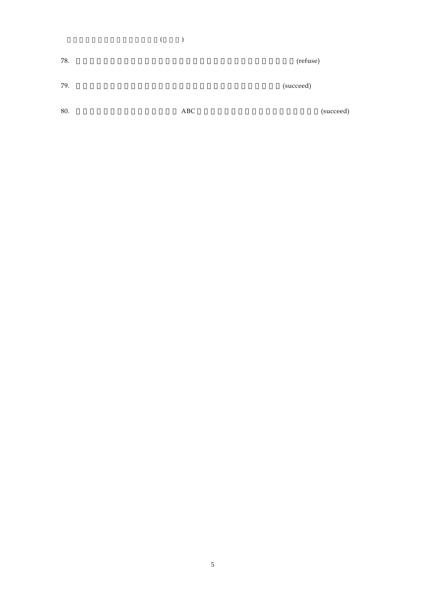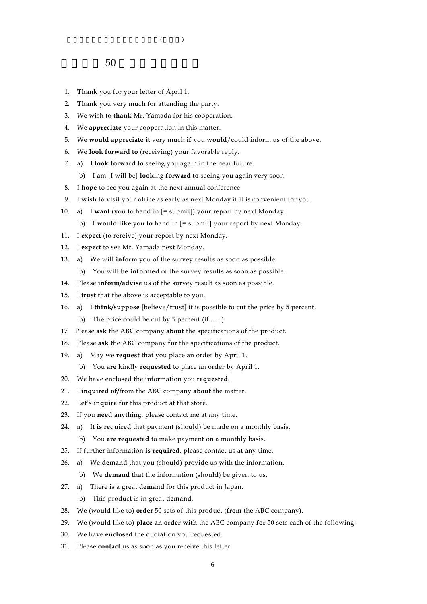- 1. **Thank** you for your letter of April 1.
- 2. **Thank** you very much for attending the party.
- 3. We wish to **thank** Mr. Yamada for his cooperation.
- 4. We **appreciate** your cooperation in this matter.
- 5. We **would appreciate it** very much **if** you **would**/could inform us of the above.
- 6. We **look forward to** (receiving) your favorable reply.
- 7. a) I **look forward to** seeing you again in the near future.
	- b) I am [I will be] **look**ing **forward to** seeing you again very soon.
- 8. I **hope** to see you again at the next annual conference.
- 9. I **wish** to visit your office as early as next Monday if it is convenient for you.
- 10. a) I **want** (you to hand in [= submit]) your report by next Monday.
	- b) I **would like** you **to** hand in [= submit] your report by next Monday.
- 11. I **expect** (to rereive) your report by next Monday.
- 12. I **expect** to see Mr. Yamada next Monday.
- 13. a) We will **inform** you of the survey results as soon as possible.
	- b) You will **be informed** of the survey results as soon as possible.
- 14. Please **inform/advise** us of the survey result as soon as possible.
- 15. I **trust** that the above is acceptable to you.
- 16. a) I **think/suppose** [believe/trust] it is possible to cut the price by 5 percent. b) The price could be cut by 5 percent  $(if \dots)$ .
- 17 Please **ask** the ABC company **about** the specifications of the product.
- 18. Please **ask** the ABC company **for** the specifications of the product.
- 19. a) May we **request** that you place an order by April 1.
	- b) You **are** kindly **requested** to place an order by April 1.
- 20. We have enclosed the information you **requested**.
- 21. I **inquired of/**from the ABC company **about** the matter.
- 22. Let's **inquire for** this product at that store.
- 23. If you **need** anything, please contact me at any time.
- 24. a) It **is required** that payment (should) be made on a monthly basis.
	- b) You **are requested** to make payment on a monthly basis.
- 25. If further information **is required**, please contact us at any time.
- 26. a) We **demand** that you (should) provide us with the information.
	- b) We **demand** that the information (should) be given to us.
- 27. a) There is a great **demand** for this product in Japan.
	- b) This product is in great **demand**.
- 28. We (would like to) **order** 50 sets of this product (**from** the ABC company).
- 29. We (would like to) **place an order with** the ABC company **for** 50 sets each of the following:
- 30. We have **enclosed** the quotation you requested.
- 31. Please **contact** us as soon as you receive this letter.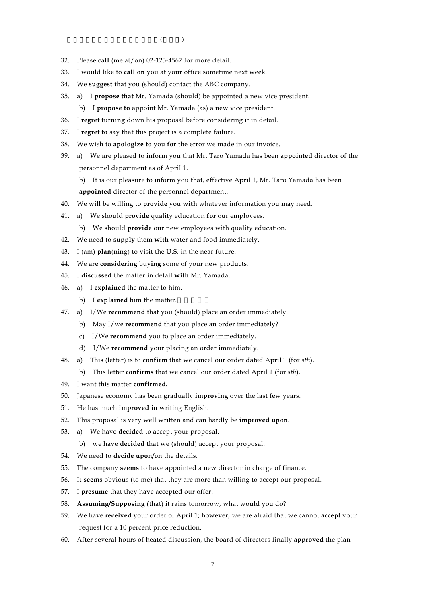- $\zeta$  and  $\zeta$
- 32. Please **call** (me at/on) 02-123-4567 for more detail.
- 33. I would like to **call on** you at your office sometime next week.
- 34. We **suggest** that you (should) contact the ABC company.
- 35. a) I **propose that** Mr. Yamada (should) be appointed a new vice president.
	- b) I **propose to** appoint Mr. Yamada (as) a new vice president.
- 36. I **regret** turn**ing** down his proposal before considering it in detail.
- 37. I **regret to** say that this project is a complete failure.
- 38. We wish to **apologize to** you **for** the error we made in our invoice.
- 39. a) We are pleased to inform you that Mr. Taro Yamada has been **appointed** director of the personnel department as of April 1.
	- b) It is our pleasure to inform you that, effective April 1, Mr. Taro Yamada has been **appointed** director of the personnel department.
- 40. We will be willing to **provide** you **with** whatever information you may need.
- 41. a) We should **provide** quality education **for** our employees.
	- b) We should **provide** our new employees with quality education.
- 42. We need to **supply** them **with** water and food immediately.
- 43. I (am) **plan**(ning) to visit the U.S. in the near future.
- 44. We are **considering** buy**ing** some of your new products.
- 45. I **discussed** the matter in detail **with** Mr. Yamada.
- 46. a) I **explained** the matter to him.
	- b) I explained him the matter.
- 47. a) I/We **recommend** that you (should) place an order immediately.
	- b) May I/we **recommend** that you place an order immediately?
	- c) I/We **recommend** you to place an order immediately.
	- d) I/We **recommend** your placing an order immediately.
- 48. a) This (letter) is to **confirm** that we cancel our order dated April 1 (for *sth*).
	- b) This letter **confirms** that we cancel our order dated April 1 (for *sth*).
- 49. I want this matter **confirmed.**
- 50. Japanese economy has been gradually **improving** over the last few years.
- 51. He has much **improved in** writing English.
- 52. This proposal is very well written and can hardly be **improved upon**.
- 53. a) We have **decided** to accept your proposal.
	- b) we have **decided** that we (should) accept your proposal.
- 54. We need to **decide upon/on** the details.
- 55. The company **seems** to have appointed a new director in charge of finance.
- 56. It **seems** obvious (to me) that they are more than willing to accept our proposal.
- 57. I **presume** that they have accepted our offer.
- 58. **Assuming/Supposing** (that) it rains tomorrow, what would you do?
- 59. We have **received** your order of April 1; however, we are afraid that we cannot **accept** your request for a 10 percent price reduction.
- 60. After several hours of heated discussion, the board of directors finally **approved** the plan